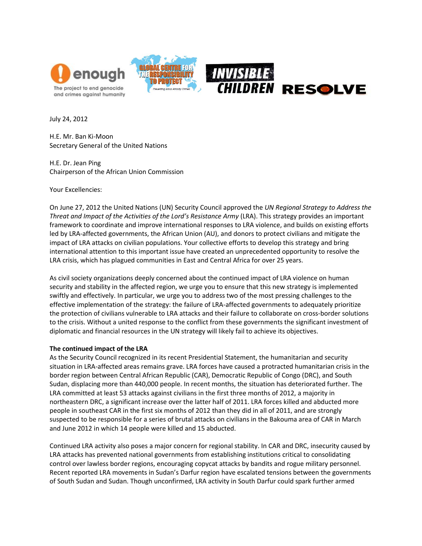

July 24, 2012

H.E. Mr. Ban Ki-Moon Secretary General of the United Nations

H.E. Dr. Jean Ping Chairperson of the African Union Commission

Your Excellencies:

On June 27, 2012 the United Nations (UN) Security Council approved the *UN Regional Strategy to Address the Threat and Impact of the Activities of the Lord's Resistance Army* (LRA). This strategy provides an important framework to coordinate and improve international responses to LRA violence, and builds on existing efforts led by LRA-affected governments, the African Union (AU), and donors to protect civilians and mitigate the impact of LRA attacks on civilian populations. Your collective efforts to develop this strategy and bring international attention to this important issue have created an unprecedented opportunity to resolve the LRA crisis, which has plagued communities in East and Central Africa for over 25 years.

As civil society organizations deeply concerned about the continued impact of LRA violence on human security and stability in the affected region, we urge you to ensure that this new strategy is implemented swiftly and effectively. In particular, we urge you to address two of the most pressing challenges to the effective implementation of the strategy: the failure of LRA-affected governments to adequately prioritize the protection of civilians vulnerable to LRA attacks and their failure to collaborate on cross-border solutions to the crisis. Without a united response to the conflict from these governments the significant investment of diplomatic and financial resources in the UN strategy will likely fail to achieve its objectives.

## **The continued impact of the LRA**

As the Security Council recognized in its recent Presidential Statement, the humanitarian and security situation in LRA-affected areas remains grave. LRA forces have caused a protracted humanitarian crisis in the border region between Central African Republic (CAR), Democratic Republic of Congo (DRC), and South Sudan, displacing more than 440,000 people. In recent months, the situation has deteriorated further. The LRA committed at least 53 attacks against civilians in the first three months of 2012, a majority in northeastern DRC, a significant increase over the latter half of 2011. LRA forces killed and abducted more people in southeast CAR in the first six months of 2012 than they did in all of 2011, and are strongly suspected to be responsible for a series of brutal attacks on civilians in the Bakouma area of CAR in March and June 2012 in which 14 people were killed and 15 abducted.

Continued LRA activity also poses a major concern for regional stability. In CAR and DRC, insecurity caused by LRA attacks has prevented national governments from establishing institutions critical to consolidating control over lawless border regions, encouraging copycat attacks by bandits and rogue military personnel. Recent reported LRA movements in Sudan's Darfur region have escalated tensions between the governments of South Sudan and Sudan. Though unconfirmed, LRA activity in South Darfur could spark further armed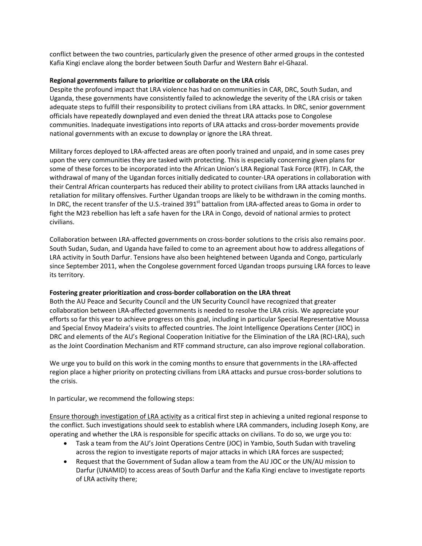conflict between the two countries, particularly given the presence of other armed groups in the contested Kafia Kingi enclave along the border between South Darfur and Western Bahr el-Ghazal.

## **Regional governments failure to prioritize or collaborate on the LRA crisis**

Despite the profound impact that LRA violence has had on communities in CAR, DRC, South Sudan, and Uganda, these governments have consistently failed to acknowledge the severity of the LRA crisis or taken adequate steps to fulfill their responsibility to protect civilians from LRA attacks. In DRC, senior government officials have repeatedly downplayed and even denied the threat LRA attacks pose to Congolese communities. Inadequate investigations into reports of LRA attacks and cross-border movements provide national governments with an excuse to downplay or ignore the LRA threat.

Military forces deployed to LRA-affected areas are often poorly trained and unpaid, and in some cases prey upon the very communities they are tasked with protecting. This is especially concerning given plans for some of these forces to be incorporated into the African Union's LRA Regional Task Force (RTF). In CAR, the withdrawal of many of the Ugandan forces initially dedicated to counter-LRA operations in collaboration with their Central African counterparts has reduced their ability to protect civilians from LRA attacks launched in retaliation for military offensives. Further Ugandan troops are likely to be withdrawn in the coming months. In DRC, the recent transfer of the U.S.-trained 391<sup>st</sup> battalion from LRA-affected areas to Goma in order to fight the M23 rebellion has left a safe haven for the LRA in Congo, devoid of national armies to protect civilians.

Collaboration between LRA-affected governments on cross-border solutions to the crisis also remains poor. South Sudan, Sudan, and Uganda have failed to come to an agreement about how to address allegations of LRA activity in South Darfur. Tensions have also been heightened between Uganda and Congo, particularly since September 2011, when the Congolese government forced Ugandan troops pursuing LRA forces to leave its territory.

## **Fostering greater prioritization and cross-border collaboration on the LRA threat**

Both the AU Peace and Security Council and the UN Security Council have recognized that greater collaboration between LRA-affected governments is needed to resolve the LRA crisis. We appreciate your efforts so far this year to achieve progress on this goal, including in particular Special Representative Moussa and Special Envoy Madeira's visits to affected countries. The Joint Intelligence Operations Center (JIOC) in DRC and elements of the AU's Regional Cooperation Initiative for the Elimination of the LRA (RCI-LRA), such as the Joint Coordination Mechanism and RTF command structure, can also improve regional collaboration.

We urge you to build on this work in the coming months to ensure that governments in the LRA-affected region place a higher priority on protecting civilians from LRA attacks and pursue cross-border solutions to the crisis.

In particular, we recommend the following steps:

Ensure thorough investigation of LRA activity as a critical first step in achieving a united regional response to the conflict. Such investigations should seek to establish where LRA commanders, including Joseph Kony, are operating and whether the LRA is responsible for specific attacks on civilians. To do so, we urge you to:

- Task a team from the AU's Joint Operations Centre (JOC) in Yambio, South Sudan with traveling across the region to investigate reports of major attacks in which LRA forces are suspected;
- Request that the Government of Sudan allow a team from the AU JOC or the UN/AU mission to Darfur (UNAMID) to access areas of South Darfur and the Kafia Kingi enclave to investigate reports of LRA activity there;